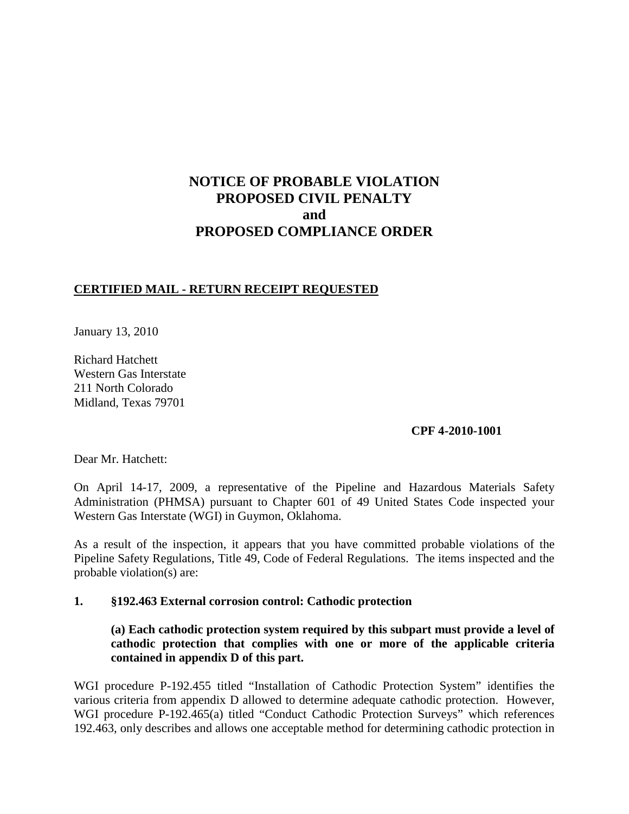# **NOTICE OF PROBABLE VIOLATION PROPOSED CIVIL PENALTY and PROPOSED COMPLIANCE ORDER**

### **CERTIFIED MAIL - RETURN RECEIPT REQUESTED**

January 13, 2010

Richard Hatchett Western Gas Interstate 211 North Colorado Midland, Texas 79701

### **CPF 4-2010-1001**

Dear Mr. Hatchett:

On April 14-17, 2009, a representative of the Pipeline and Hazardous Materials Safety Administration (PHMSA) pursuant to Chapter 601 of 49 United States Code inspected your Western Gas Interstate (WGI) in Guymon, Oklahoma.

As a result of the inspection, it appears that you have committed probable violations of the Pipeline Safety Regulations, Title 49, Code of Federal Regulations. The items inspected and the probable violation(s) are:

### **1. §192.463 External corrosion control: Cathodic protection**

# **(a) Each cathodic protection system required by this subpart must provide a level of cathodic protection that complies with one or more of the applicable criteria contained in appendix D of this part.**

WGI procedure P-192.455 titled "Installation of Cathodic Protection System" identifies the various criteria from appendix D allowed to determine adequate cathodic protection. However, WGI procedure P-192.465(a) titled "Conduct Cathodic Protection Surveys" which references 192.463, only describes and allows one acceptable method for determining cathodic protection in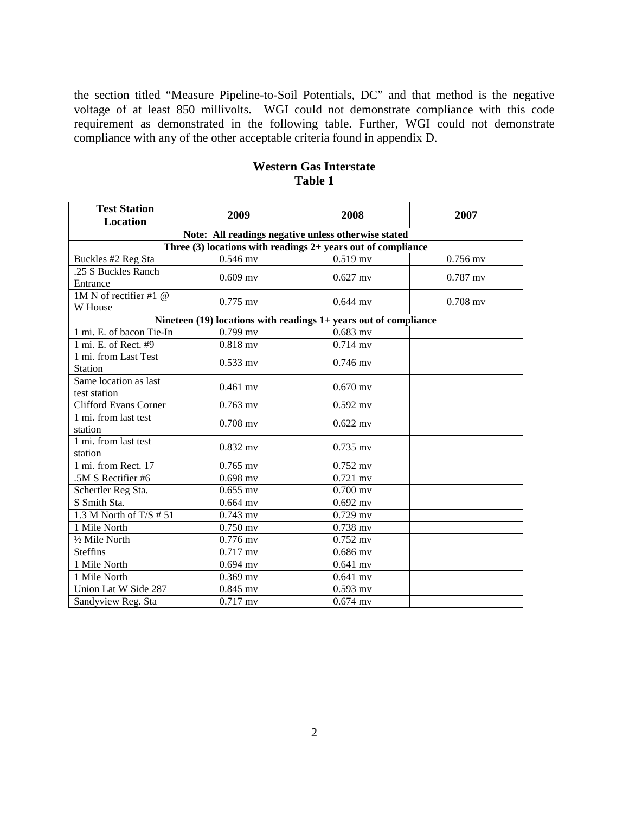the section titled "Measure Pipeline-to-Soil Potentials, DC" and that method is the negative voltage of at least 850 millivolts. WGI could not demonstrate compliance with this code requirement as demonstrated in the following table. Further, WGI could not demonstrate compliance with any of the other acceptable criteria found in appendix D.

| <b>Test Station</b><br>Location   | 2009                  | 2008                                                                 | 2007       |
|-----------------------------------|-----------------------|----------------------------------------------------------------------|------------|
|                                   |                       | Note: All readings negative unless otherwise stated                  |            |
|                                   |                       | Three $(3)$ locations with readings 2+ years out of compliance       |            |
| Buckles #2 Reg Sta                | $0.546$ mv            | $0.519$ mv                                                           | $0.756$ mv |
| .25 S Buckles Ranch               | $0.609$ my            | $0.627$ my                                                           | $0.787$ my |
| Entrance                          |                       |                                                                      |            |
| $1M N$ of rectifier #1 $@$        | $0.775$ mv            | $0.644$ my                                                           | $0.708$ mv |
| W House                           |                       |                                                                      |            |
|                                   |                       | Nineteen $(19)$ locations with readings $1+$ years out of compliance |            |
| 1 mi. E. of bacon Tie-In          | $0.799$ mv            | $0.683$ mv                                                           |            |
| 1 mi. E. of Rect. #9              | $0.818$ mv            | $0.714$ mv                                                           |            |
| 1 mi. from Last Test              | $0.533$ mv            | $0.746$ mv                                                           |            |
| <b>Station</b>                    |                       |                                                                      |            |
| Same location as last             | $0.461$ my            | $0.670$ my                                                           |            |
| test station                      |                       |                                                                      |            |
| <b>Clifford Evans Corner</b>      | $0.763$ mv            | $0.592$ mv                                                           |            |
| $\overline{1}$ mi. from last test | $0.708$ mv            | $0.622$ mv                                                           |            |
| station                           |                       |                                                                      |            |
| 1 mi. from last test              | $0.832$ mv            | $0.735$ mv                                                           |            |
| station                           |                       |                                                                      |            |
| 1 mi. from Rect. 17               | $0.765$ mv            | $0.752$ mv                                                           |            |
| .5M S Rectifier #6                | $0.698$ mv            | $\overline{0.721}$ mv                                                |            |
| Schertler Reg Sta.                | $0.655$ mv            | $0.700$ mv                                                           |            |
| S Smith Sta.                      | $0.664$ mv            | $0.692$ mv                                                           |            |
| 1.3 M North of $T/S \# 51$        | $0.743$ mv            | $0.729$ mv                                                           |            |
| 1 Mile North                      | $0.750$ mv            | $0.738$ mv                                                           |            |
| 1/2 Mile North                    | $0.776$ mv            | $0.752$ mv                                                           |            |
| <b>Steffins</b>                   | $\overline{0.717}$ mv | $0.686$ mv                                                           |            |
| 1 Mile North                      | $0.694$ mv            | $0.641$ mv                                                           |            |
| 1 Mile North                      | $0.369$ mv            | $0.641$ mv                                                           |            |
| Union Lat W Side 287              | $0.845$ mv            | $0.593$ mv                                                           |            |
| Sandyview Reg. Sta                | $0.717$ mv            | $0.674$ mv                                                           |            |

# **Western Gas Interstate Table 1**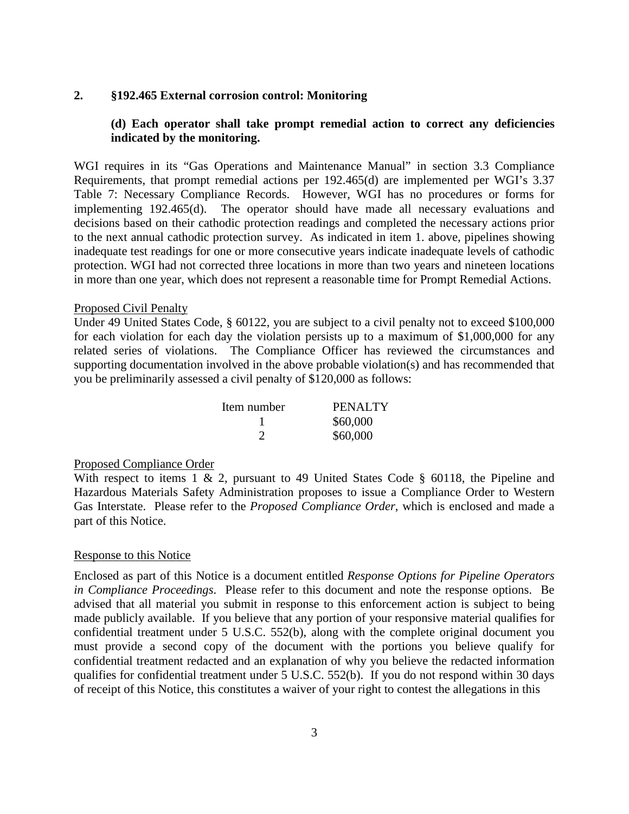#### **2. §192.465 External corrosion control: Monitoring**

## **(d) Each operator shall take prompt remedial action to correct any deficiencies indicated by the monitoring.**

WGI requires in its "Gas Operations and Maintenance Manual" in section 3.3 Compliance Requirements, that prompt remedial actions per 192.465(d) are implemented per WGI's 3.37 Table 7: Necessary Compliance Records. However, WGI has no procedures or forms for implementing 192.465(d). The operator should have made all necessary evaluations and decisions based on their cathodic protection readings and completed the necessary actions prior to the next annual cathodic protection survey. As indicated in item 1. above, pipelines showing inadequate test readings for one or more consecutive years indicate inadequate levels of cathodic protection. WGI had not corrected three locations in more than two years and nineteen locations in more than one year, which does not represent a reasonable time for Prompt Remedial Actions.

#### Proposed Civil Penalty

Under 49 United States Code, § 60122, you are subject to a civil penalty not to exceed \$100,000 for each violation for each day the violation persists up to a maximum of \$1,000,000 for any related series of violations. The Compliance Officer has reviewed the circumstances and supporting documentation involved in the above probable violation(s) and has recommended that you be preliminarily assessed a civil penalty of \$120,000 as follows:

| Item number | <b>PENALTY</b> |  |
|-------------|----------------|--|
|             | \$60,000       |  |
|             | \$60,000       |  |

### Proposed Compliance Order

With respect to items 1 & 2, pursuant to 49 United States Code  $\S$  60118, the Pipeline and Hazardous Materials Safety Administration proposes to issue a Compliance Order to Western Gas Interstate. Please refer to the *Proposed Compliance Order*, which is enclosed and made a part of this Notice.

#### Response to this Notice

Enclosed as part of this Notice is a document entitled *Response Options for Pipeline Operators in Compliance Proceedings*. Please refer to this document and note the response options. Be advised that all material you submit in response to this enforcement action is subject to being made publicly available. If you believe that any portion of your responsive material qualifies for confidential treatment under 5 U.S.C. 552(b), along with the complete original document you must provide a second copy of the document with the portions you believe qualify for confidential treatment redacted and an explanation of why you believe the redacted information qualifies for confidential treatment under 5 U.S.C. 552(b). If you do not respond within 30 days of receipt of this Notice, this constitutes a waiver of your right to contest the allegations in this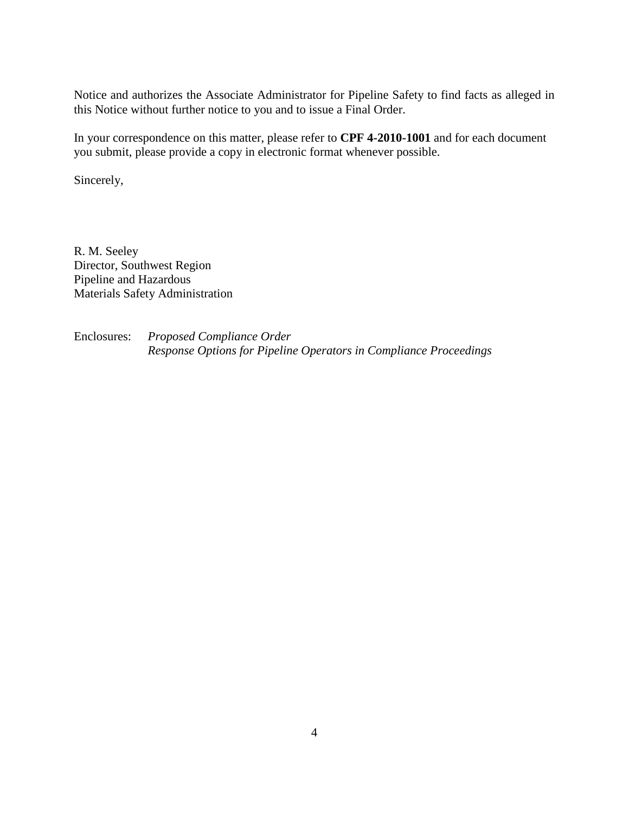Notice and authorizes the Associate Administrator for Pipeline Safety to find facts as alleged in this Notice without further notice to you and to issue a Final Order.

In your correspondence on this matter, please refer to **CPF 4-2010-1001** and for each document you submit, please provide a copy in electronic format whenever possible.

Sincerely,

R. M. Seeley Director, Southwest Region Pipeline and Hazardous Materials Safety Administration

Enclosures: *Proposed Compliance Order Response Options for Pipeline Operators in Compliance Proceedings*